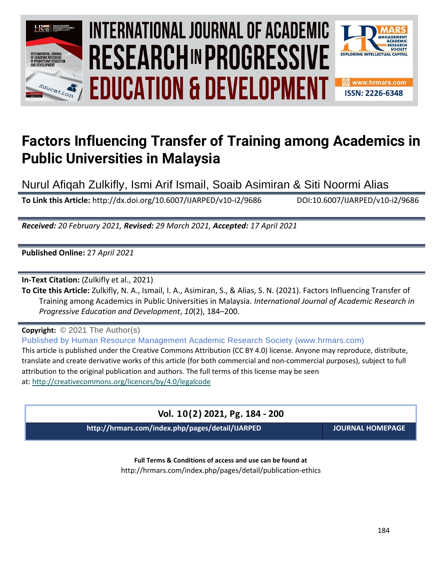

# INTERNATIONAL JOURNAL OF ACADEMIC **Vol. 1 0 , No. 2, 2021, E-ISSN: 2226-6348 © 2021 HRMARS EDUCATION & DEVELOPMENT**



# **Factors Influencing Transfer of Training among Academics in Public Universities in Malaysia**

Nurul Afiqah Zulkifly, Ismi Arif Ismail, Soaib Asimiran & Siti Noormi Alias

**To Link this Article:** http://dx.doi.org/10.6007/IJARPED/v10-i2/9686 DOI:10.6007/IJARPED/v10-i2/9686

*Received: 20 February 2021, Revised: 29 March 2021, Accepted: 17 April 2021*

**Published Online:** 27 *April 2021*

**In-Text Citation:** (Zulkifly et al., 2021)

**To Cite this Article:** Zulkifly, N. A., Ismail, I. A., Asimiran, S., & Alias, S. N. (2021). Factors Influencing Transfer of Training among Academics in Public Universities in Malaysia. *International Journal of Academic Research in Progressive Education and Development*, *10*(2), 184–200.

**Copyright:** © 2021 The Author(s)

Published by Human Resource Management Academic Research Society (www.hrmars.com) This article is published under the Creative Commons Attribution (CC BY 4.0) license. Anyone may reproduce, distribute, translate and create derivative works of this article (for both commercial and non-commercial purposes), subject to full attribution to the original publication and authors. The full terms of this license may be seen at: <http://creativecommons.org/licences/by/4.0/legalcode>

# **Vol. 10(2) 2021, Pg. 184 - 200**

**http://hrmars.com/index.php/pages/detail/IJARPED JOURNAL HOMEPAGE**

**Full Terms & Conditions of access and use can be found at** http://hrmars.com/index.php/pages/detail/publication-ethics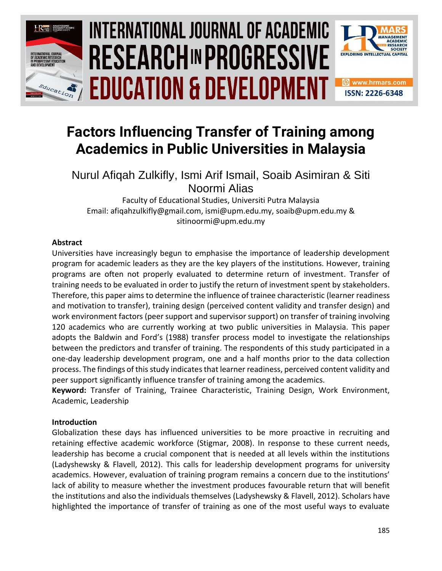

# INTERNATIONAL JOURNAL OF ACADEMIC **Vol. 1 0 , No. 2, 2021, E-ISSN: 2226-6348 © 2021 HRMARS EDUCATION & DEVELOPMENT**



# **Factors Influencing Transfer of Training among Academics in Public Universities in Malaysia**

Nurul Afiqah Zulkifly, Ismi Arif Ismail, Soaib Asimiran & Siti Noormi Alias

Faculty of Educational Studies, Universiti Putra Malaysia Email: afiqahzulkifly@gmail.com, ismi@upm.edu.my, soaib@upm.edu.my & sitinoormi@upm.edu.my

# **Abstract**

Universities have increasingly begun to emphasise the importance of leadership development program for academic leaders as they are the key players of the institutions. However, training programs are often not properly evaluated to determine return of investment. Transfer of training needs to be evaluated in order to justify the return of investment spent by stakeholders. Therefore, this paper aims to determine the influence of trainee characteristic (learner readiness and motivation to transfer), training design (perceived content validity and transfer design) and work environment factors (peer support and supervisor support) on transfer of training involving 120 academics who are currently working at two public universities in Malaysia. This paper adopts the Baldwin and Ford's (1988) transfer process model to investigate the relationships between the predictors and transfer of training. The respondents of this study participated in a one-day leadership development program, one and a half months prior to the data collection process. The findings of this study indicatesthat learner readiness, perceived content validity and peer support significantly influence transfer of training among the academics.

**Keyword:** Transfer of Training, Trainee Characteristic, Training Design, Work Environment, Academic, Leadership

# **Introduction**

Globalization these days has influenced universities to be more proactive in recruiting and retaining effective academic workforce (Stigmar, 2008). In response to these current needs, leadership has become a crucial component that is needed at all levels within the institutions (Ladyshewsky & Flavell, 2012). This calls for leadership development programs for university academics. However, evaluation of training program remains a concern due to the institutions' lack of ability to measure whether the investment produces favourable return that will benefit the institutions and also the individuals themselves (Ladyshewsky & Flavell, 2012). Scholars have highlighted the importance of transfer of training as one of the most useful ways to evaluate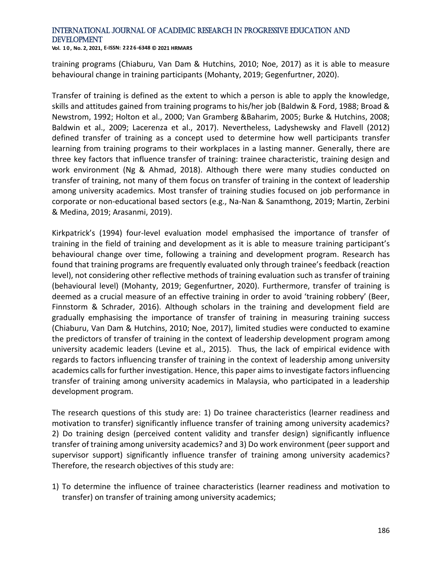**Vol. 1 0 , No. 2, 2021, E-ISSN: 2226-6348 © 2021 HRMARS**

training programs (Chiaburu, Van Dam & Hutchins, 2010; Noe, 2017) as it is able to measure behavioural change in training participants (Mohanty, 2019; Gegenfurtner, 2020).

Transfer of training is defined as the extent to which a person is able to apply the knowledge, skills and attitudes gained from training programs to his/her job (Baldwin & Ford, 1988; Broad & Newstrom, 1992; Holton et al., 2000; Van Gramberg &Baharim, 2005; Burke & Hutchins, 2008; Baldwin et al., 2009; Lacerenza et al., 2017). Nevertheless, Ladyshewsky and Flavell (2012) defined transfer of training as a concept used to determine how well participants transfer learning from training programs to their workplaces in a lasting manner. Generally, there are three key factors that influence transfer of training: trainee characteristic, training design and work environment (Ng & Ahmad, 2018). Although there were many studies conducted on transfer of training, not many of them focus on transfer of training in the context of leadership among university academics. Most transfer of training studies focused on job performance in corporate or non-educational based sectors (e.g., Na-Nan & Sanamthong, 2019; Martin, Zerbini & Medina, 2019; Arasanmi, 2019).

Kirkpatrick's (1994) four-level evaluation model emphasised the importance of transfer of training in the field of training and development as it is able to measure training participant's behavioural change over time, following a training and development program. Research has found that training programs are frequently evaluated only through trainee's feedback (reaction level), not considering other reflective methods of training evaluation such as transfer of training (behavioural level) (Mohanty, 2019; Gegenfurtner, 2020). Furthermore, transfer of training is deemed as a crucial measure of an effective training in order to avoid 'training robbery' (Beer, Finnstorm & Schrader, 2016). Although scholars in the training and development field are gradually emphasising the importance of transfer of training in measuring training success (Chiaburu, Van Dam & Hutchins, 2010; Noe, 2017), limited studies were conducted to examine the predictors of transfer of training in the context of leadership development program among university academic leaders (Levine et al., 2015). Thus, the lack of empirical evidence with regards to factors influencing transfer of training in the context of leadership among university academics calls for further investigation. Hence, this paper aims to investigate factors influencing transfer of training among university academics in Malaysia, who participated in a leadership development program.

The research questions of this study are: 1) Do trainee characteristics (learner readiness and motivation to transfer) significantly influence transfer of training among university academics? 2) Do training design (perceived content validity and transfer design) significantly influence transfer of training among university academics? and 3) Do work environment (peer support and supervisor support) significantly influence transfer of training among university academics? Therefore, the research objectives of this study are:

1) To determine the influence of trainee characteristics (learner readiness and motivation to transfer) on transfer of training among university academics;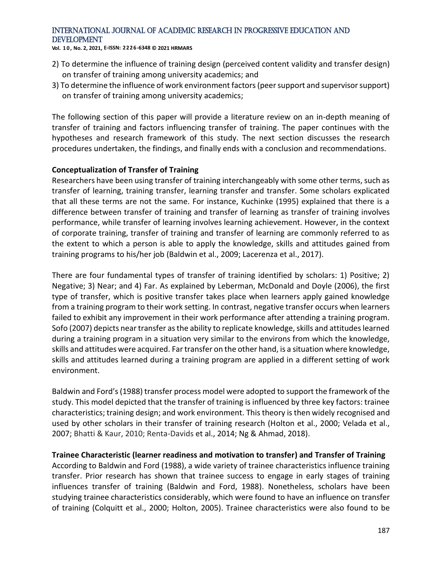**Vol. 1 0 , No. 2, 2021, E-ISSN: 2226-6348 © 2021 HRMARS**

- 2) To determine the influence of training design (perceived content validity and transfer design) on transfer of training among university academics; and
- 3) To determine the influence of work environment factors (peer support and supervisor support) on transfer of training among university academics;

The following section of this paper will provide a literature review on an in-depth meaning of transfer of training and factors influencing transfer of training. The paper continues with the hypotheses and research framework of this study. The next section discusses the research procedures undertaken, the findings, and finally ends with a conclusion and recommendations.

#### **Conceptualization of Transfer of Training**

Researchers have been using transfer of training interchangeably with some other terms, such as transfer of learning, training transfer, learning transfer and transfer. Some scholars explicated that all these terms are not the same. For instance, Kuchinke (1995) explained that there is a difference between transfer of training and transfer of learning as transfer of training involves performance, while transfer of learning involves learning achievement. However, in the context of corporate training, transfer of training and transfer of learning are commonly referred to as the extent to which a person is able to apply the knowledge, skills and attitudes gained from training programs to his/her job (Baldwin et al., 2009; Lacerenza et al., 2017).

There are four fundamental types of transfer of training identified by scholars: 1) Positive; 2) Negative; 3) Near; and 4) Far. As explained by Leberman, McDonald and Doyle (2006), the first type of transfer, which is positive transfer takes place when learners apply gained knowledge from a training program to their work setting. In contrast, negative transfer occurs when learners failed to exhibit any improvement in their work performance after attending a training program. Sofo (2007) depicts near transfer as the ability to replicate knowledge, skills and attitudes learned during a training program in a situation very similar to the environs from which the knowledge, skills and attitudes were acquired. Far transfer on the other hand, is a situation where knowledge, skills and attitudes learned during a training program are applied in a different setting of work environment.

Baldwin and Ford's (1988) transfer process model were adopted to support the framework of the study. This model depicted that the transfer of training is influenced by three key factors: trainee characteristics; training design; and work environment. This theory is then widely recognised and used by other scholars in their transfer of training research (Holton et al., 2000; Velada et al., 2007; Bhatti & Kaur, 2010; Renta-Davids et al., 2014; Ng & Ahmad, 2018).

#### **Trainee Characteristic (learner readiness and motivation to transfer) and Transfer of Training**

According to Baldwin and Ford (1988), a wide variety of trainee characteristics influence training transfer. Prior research has shown that trainee success to engage in early stages of training influences transfer of training (Baldwin and Ford, 1988). Nonetheless, scholars have been studying trainee characteristics considerably, which were found to have an influence on transfer of training (Colquitt et al., 2000; Holton, 2005). Trainee characteristics were also found to be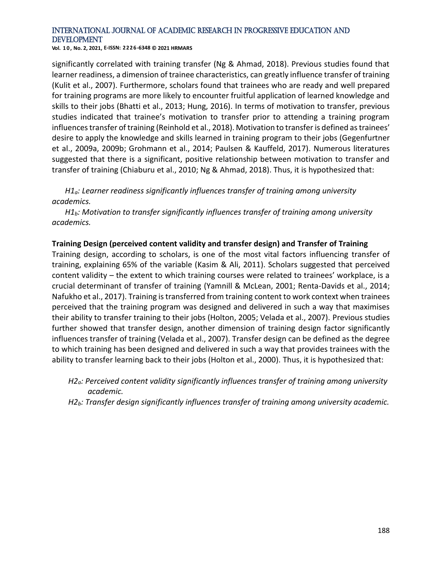**Vol. 1 0 , No. 2, 2021, E-ISSN: 2226-6348 © 2021 HRMARS**

significantly correlated with training transfer (Ng & Ahmad, 2018). Previous studies found that learner readiness, a dimension of trainee characteristics, can greatly influence transfer of training (Kulit et al., 2007). Furthermore, scholars found that trainees who are ready and well prepared for training programs are more likely to encounter fruitful application of learned knowledge and skills to their jobs (Bhatti et al., 2013; Hung, 2016). In terms of motivation to transfer, previous studies indicated that trainee's motivation to transfer prior to attending a training program influences transfer of training (Reinhold et al., 2018). Motivation to transfer is defined as trainees' desire to apply the knowledge and skills learned in training program to their jobs (Gegenfurtner et al., 2009a, 2009b; Grohmann et al., 2014; Paulsen & Kauffeld, 2017). Numerous literatures suggested that there is a significant, positive relationship between motivation to transfer and transfer of training (Chiaburu et al., 2010; Ng & Ahmad, 2018). Thus, it is hypothesized that:

*H1a: Learner readiness significantly influences transfer of training among university academics.*

*H1b: Motivation to transfer significantly influences transfer of training among university academics.*

#### **Training Design (perceived content validity and transfer design) and Transfer of Training**

Training design, according to scholars, is one of the most vital factors influencing transfer of training, explaining 65% of the variable (Kasim & Ali, 2011). Scholars suggested that perceived content validity – the extent to which training courses were related to trainees' workplace, is a crucial determinant of transfer of training (Yamnill & McLean, 2001; Renta-Davids et al., 2014; Nafukho et al., 2017). Training is transferred from training content to work context when trainees perceived that the training program was designed and delivered in such a way that maximises their ability to transfer training to their jobs (Holton, 2005; Velada et al., 2007). Previous studies further showed that transfer design, another dimension of training design factor significantly influences transfer of training (Velada et al., 2007). Transfer design can be defined as the degree to which training has been designed and delivered in such a way that provides trainees with the ability to transfer learning back to their jobs (Holton et al., 2000). Thus, it is hypothesized that:

- *H2a: Perceived content validity significantly influences transfer of training among university academic.*
- *H2b: Transfer design significantly influences transfer of training among university academic.*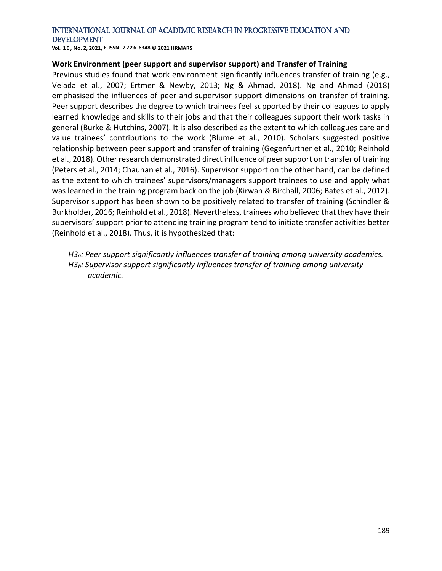**Vol. 1 0 , No. 2, 2021, E-ISSN: 2226-6348 © 2021 HRMARS**

#### **Work Environment (peer support and supervisor support) and Transfer of Training**

Previous studies found that work environment significantly influences transfer of training (e.g., Velada et al., 2007; Ertmer & Newby, 2013; Ng & Ahmad, 2018). Ng and Ahmad (2018) emphasised the influences of peer and supervisor support dimensions on transfer of training. Peer support describes the degree to which trainees feel supported by their colleagues to apply learned knowledge and skills to their jobs and that their colleagues support their work tasks in general (Burke & Hutchins, 2007). It is also described as the extent to which colleagues care and value trainees' contributions to the work (Blume et al., 2010). Scholars suggested positive relationship between peer support and transfer of training (Gegenfurtner et al., 2010; Reinhold et al., 2018). Other research demonstrated direct influence of peer support on transfer of training (Peters et al., 2014; Chauhan et al., 2016). Supervisor support on the other hand, can be defined as the extent to which trainees' supervisors/managers support trainees to use and apply what was learned in the training program back on the job (Kirwan & Birchall, 2006; Bates et al., 2012). Supervisor support has been shown to be positively related to transfer of training (Schindler & Burkholder, 2016; Reinhold et al., 2018). Nevertheless, trainees who believed that they have their supervisors' support prior to attending training program tend to initiate transfer activities better (Reinhold et al., 2018). Thus, it is hypothesized that:

*H3a: Peer support significantly influences transfer of training among university academics. H3b: Supervisor support significantly influences transfer of training among university academic.*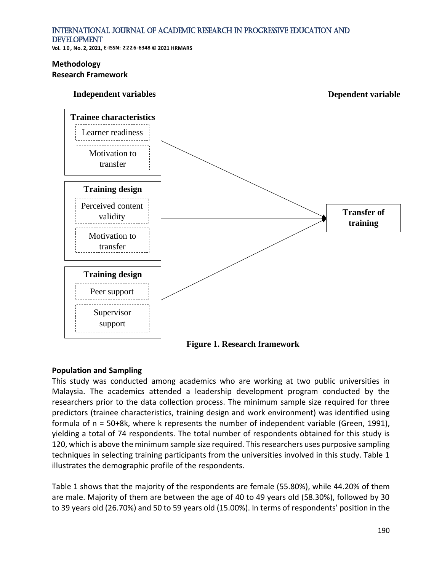**Vol. 1 0 , No. 2, 2021, E-ISSN: 2226-6348 © 2021 HRMARS**

#### **Methodology Research Framework**



**Figure 1. Research framework**

## **Population and Sampling**

This study was conducted among academics who are working at two public universities in Malaysia. The academics attended a leadership development program conducted by the researchers prior to the data collection process. The minimum sample size required for three predictors (trainee characteristics, training design and work environment) was identified using formula of n = 50+8k, where k represents the number of independent variable (Green, 1991), yielding a total of 74 respondents. The total number of respondents obtained for this study is 120, which is above the minimum sample size required. This researchers uses purposive sampling techniques in selecting training participants from the universities involved in this study. Table 1 illustrates the demographic profile of the respondents.

Table 1 shows that the majority of the respondents are female (55.80%), while 44.20% of them are male. Majority of them are between the age of 40 to 49 years old (58.30%), followed by 30 to 39 years old (26.70%) and 50 to 59 years old (15.00%). In terms of respondents' position in the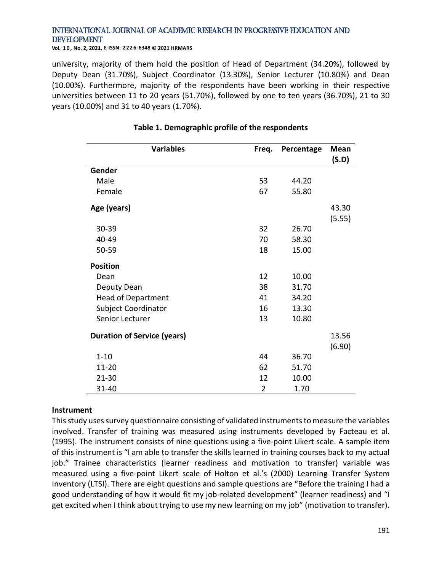**Vol. 1 0 , No. 2, 2021, E-ISSN: 2226-6348 © 2021 HRMARS**

university, majority of them hold the position of Head of Department (34.20%), followed by Deputy Dean (31.70%), Subject Coordinator (13.30%), Senior Lecturer (10.80%) and Dean (10.00%). Furthermore, majority of the respondents have been working in their respective universities between 11 to 20 years (51.70%), followed by one to ten years (36.70%), 21 to 30 years (10.00%) and 31 to 40 years (1.70%).

| <b>Variables</b>                   | Freq.          | Percentage | <b>Mean</b><br>(S.D) |
|------------------------------------|----------------|------------|----------------------|
| Gender                             |                |            |                      |
| Male                               | 53             | 44.20      |                      |
| Female                             | 67             | 55.80      |                      |
| Age (years)                        |                |            | 43.30<br>(5.55)      |
| 30-39                              | 32             | 26.70      |                      |
| 40-49                              | 70             | 58.30      |                      |
| 50-59                              | 18             | 15.00      |                      |
| <b>Position</b>                    |                |            |                      |
| Dean                               | 12             | 10.00      |                      |
| Deputy Dean                        | 38             | 31.70      |                      |
| <b>Head of Department</b>          | 41             | 34.20      |                      |
| <b>Subject Coordinator</b>         | 16             | 13.30      |                      |
| Senior Lecturer                    | 13             | 10.80      |                      |
| <b>Duration of Service (years)</b> |                |            | 13.56                |
|                                    |                |            | (6.90)               |
| $1 - 10$                           | 44             | 36.70      |                      |
| 11-20                              | 62             | 51.70      |                      |
| $21 - 30$                          | 12             | 10.00      |                      |
| 31-40                              | $\overline{2}$ | 1.70       |                      |

### **Table 1. Demographic profile of the respondents**

#### **Instrument**

This study uses survey questionnaire consisting of validated instruments to measure the variables involved. Transfer of training was measured using instruments developed by Facteau et al. (1995). The instrument consists of nine questions using a five-point Likert scale. A sample item of this instrument is "I am able to transfer the skills learned in training courses back to my actual job." Trainee characteristics (learner readiness and motivation to transfer) variable was measured using a five-point Likert scale of Holton et al.'s (2000) Learning Transfer System Inventory (LTSI). There are eight questions and sample questions are "Before the training I had a good understanding of how it would fit my job-related development" (learner readiness) and "I get excited when I think about trying to use my new learning on my job" (motivation to transfer).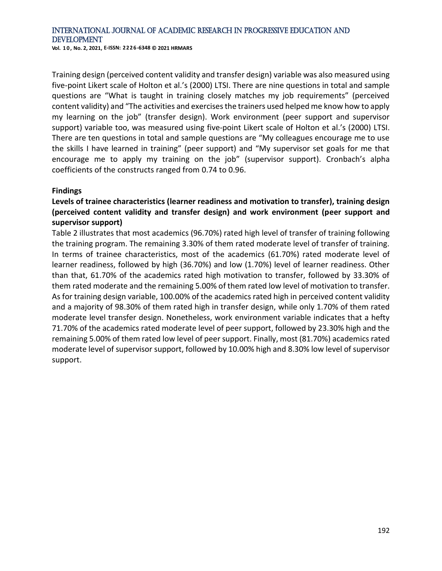**Vol. 1 0 , No. 2, 2021, E-ISSN: 2226-6348 © 2021 HRMARS**

Training design (perceived content validity and transfer design) variable was also measured using five-point Likert scale of Holton et al.'s (2000) LTSI. There are nine questions in total and sample questions are "What is taught in training closely matches my job requirements" (perceived content validity) and "The activities and exercises the trainers used helped me know how to apply my learning on the job" (transfer design). Work environment (peer support and supervisor support) variable too, was measured using five-point Likert scale of Holton et al.'s (2000) LTSI. There are ten questions in total and sample questions are "My colleagues encourage me to use the skills I have learned in training" (peer support) and "My supervisor set goals for me that encourage me to apply my training on the job" (supervisor support). Cronbach's alpha coefficients of the constructs ranged from 0.74 to 0.96.

#### **Findings**

## **Levels of trainee characteristics (learner readiness and motivation to transfer), training design (perceived content validity and transfer design) and work environment (peer support and supervisor support)**

Table 2 illustrates that most academics (96.70%) rated high level of transfer of training following the training program. The remaining 3.30% of them rated moderate level of transfer of training. In terms of trainee characteristics, most of the academics (61.70%) rated moderate level of learner readiness, followed by high (36.70%) and low (1.70%) level of learner readiness. Other than that, 61.70% of the academics rated high motivation to transfer, followed by 33.30% of them rated moderate and the remaining 5.00% of them rated low level of motivation to transfer. As for training design variable, 100.00% of the academics rated high in perceived content validity and a majority of 98.30% of them rated high in transfer design, while only 1.70% of them rated moderate level transfer design. Nonetheless, work environment variable indicates that a hefty 71.70% of the academics rated moderate level of peer support, followed by 23.30% high and the remaining 5.00% of them rated low level of peer support. Finally, most (81.70%) academics rated moderate level of supervisor support, followed by 10.00% high and 8.30% low level of supervisor support.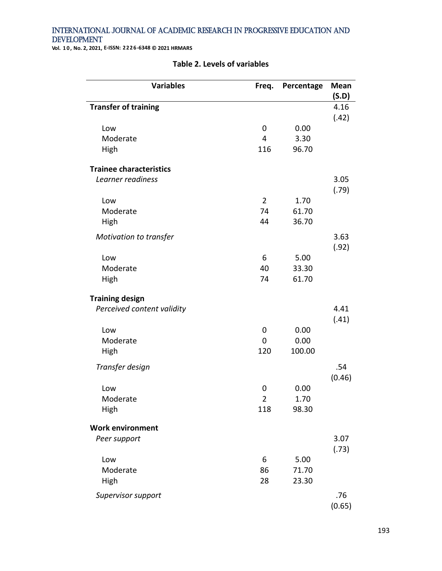**Vol. 1 0 , No. 2, 2021, E-ISSN: 2226-6348 © 2021 HRMARS**

| <b>Variables</b>               | Freq.          | Percentage | <b>Mean</b> |
|--------------------------------|----------------|------------|-------------|
|                                |                |            | (S.D)       |
| <b>Transfer of training</b>    |                |            | 4.16        |
| Low                            | 0              | 0.00       | (.42)       |
| Moderate                       | $\overline{4}$ | 3.30       |             |
| High                           | 116            | 96.70      |             |
|                                |                |            |             |
| <b>Trainee characteristics</b> |                |            |             |
| Learner readiness              |                |            | 3.05        |
|                                |                |            | (.79)       |
| Low                            | $\overline{2}$ | 1.70       |             |
| Moderate                       | 74             | 61.70      |             |
| High                           | 44             | 36.70      |             |
| Motivation to transfer         |                |            | 3.63        |
|                                |                |            | (.92)       |
| Low                            | 6              | 5.00       |             |
| Moderate                       | 40             | 33.30      |             |
| High                           | 74             | 61.70      |             |
|                                |                |            |             |
| <b>Training design</b>         |                |            |             |
| Perceived content validity     |                |            | 4.41        |
|                                |                |            | (.41)       |
| Low                            | 0              | 0.00       |             |
| Moderate                       | $\mathbf 0$    | 0.00       |             |
| High                           | 120            | 100.00     |             |
| Transfer design                |                |            | .54         |
|                                |                |            | (0.46)      |
| Low                            | $\mathbf 0$    | 0.00       |             |
| Moderate                       | $\overline{2}$ | 1.70       |             |
| High                           | 118            | 98.30      |             |
|                                |                |            |             |
| <b>Work environment</b>        |                |            |             |
| Peer support                   |                |            | 3.07        |
|                                | 6              | 5.00       | (.73)       |
| Low<br>Moderate                | 86             | 71.70      |             |
|                                | 28             | 23.30      |             |
| High                           |                |            |             |
| Supervisor support             |                |            | .76         |
|                                |                |            | (0.65)      |

#### **Table 2. Levels of variables**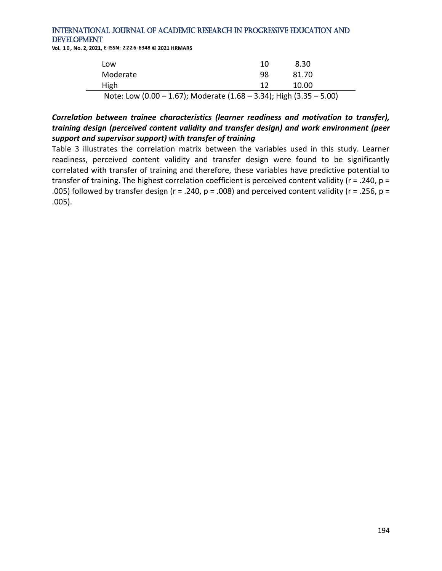**Vol. 1 0 , No. 2, 2021, E-ISSN: 2226-6348 © 2021 HRMARS**

| Low      |                                                                                                                                                                                                                                                                                                                       | 10 | 8.30  |  |
|----------|-----------------------------------------------------------------------------------------------------------------------------------------------------------------------------------------------------------------------------------------------------------------------------------------------------------------------|----|-------|--|
| Moderate |                                                                                                                                                                                                                                                                                                                       | 98 | 81.70 |  |
| High     |                                                                                                                                                                                                                                                                                                                       | 12 | 10.00 |  |
|          | $N_{\rm tot}$ , $N_{\rm t}$ , $N_{\rm t}$ , $N_{\rm t}$ , $N_{\rm t}$ , $N_{\rm t}$ , $N_{\rm t}$ , $N_{\rm t}$ , $N_{\rm t}$ , $N_{\rm t}$ , $N_{\rm t}$ , $N_{\rm t}$ , $N_{\rm t}$ , $N_{\rm t}$ , $N_{\rm t}$ , $N_{\rm t}$ , $N_{\rm t}$ , $N_{\rm t}$ , $N_{\rm t}$ , $N_{\rm t}$ , $N_{\rm t}$ , $N_{\rm t}$ , |    |       |  |

Note: Low (0.00 – 1.67); Moderate (1.68 – 3.34); High (3.35 – 5.00)

## *Correlation between trainee characteristics (learner readiness and motivation to transfer), training design (perceived content validity and transfer design) and work environment (peer support and supervisor support) with transfer of training*

Table 3 illustrates the correlation matrix between the variables used in this study. Learner readiness, perceived content validity and transfer design were found to be significantly correlated with transfer of training and therefore, these variables have predictive potential to transfer of training. The highest correlation coefficient is perceived content validity (r = .240, p = .005) followed by transfer design ( $r = .240$ ,  $p = .008$ ) and perceived content validity ( $r = .256$ ,  $p =$ .005).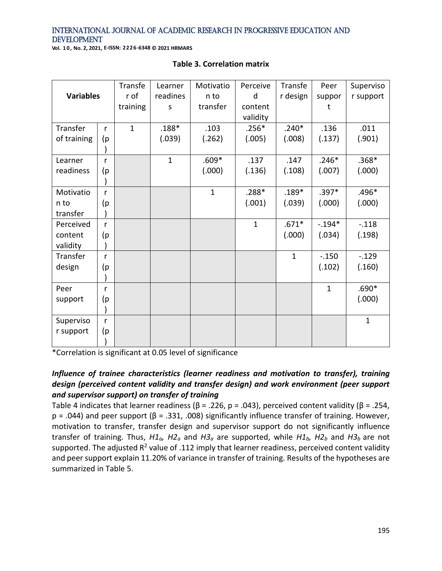**Vol. 1 0 , No. 2, 2021, E-ISSN: 2226-6348 © 2021 HRMARS**

|                  |              | Transfe      | Learner      | Motivatio    | Perceive     | Transfe      | Peer         | Superviso    |
|------------------|--------------|--------------|--------------|--------------|--------------|--------------|--------------|--------------|
| <b>Variables</b> |              | r of         | readines     | n to         | d            | r design     | suppor       | r support    |
|                  |              | training     | S            | transfer     | content      |              | t            |              |
|                  |              |              |              |              | validity     |              |              |              |
| Transfer         | r            | $\mathbf{1}$ | $.188*$      | .103         | $.256*$      | $.240*$      | .136         | .011         |
| of training      | (p           |              | (.039)       | (.262)       | (.005)       | (.008)       | (.137)       | (.901)       |
|                  |              |              |              |              |              |              |              |              |
| Learner          | r            |              | $\mathbf{1}$ | $.609*$      | .137         | .147         | $.246*$      | $.368*$      |
| readiness        | (p           |              |              | (.000)       | (.136)       | (.108)       | (.007)       | (.000)       |
|                  |              |              |              |              |              |              |              |              |
| Motivatio        | r            |              |              | $\mathbf{1}$ | $.288*$      | $.189*$      | $.397*$      | $.496*$      |
| n to             | (p           |              |              |              | (.001)       | (.039)       | (.000)       | (.000)       |
| transfer         |              |              |              |              |              |              |              |              |
| Perceived        | r            |              |              |              | $\mathbf{1}$ | $.671*$      | $-.194*$     | $-.118$      |
| content          | (p           |              |              |              |              | (.000)       | (.034)       | (.198)       |
| validity         |              |              |              |              |              |              |              |              |
| Transfer         | r            |              |              |              |              | $\mathbf{1}$ | $-.150$      | $-0.129$     |
| design           | (p           |              |              |              |              |              | (.102)       | (.160)       |
|                  |              |              |              |              |              |              |              |              |
| Peer             | r            |              |              |              |              |              | $\mathbf{1}$ | $.690*$      |
| support          | (p           |              |              |              |              |              |              | (.000)       |
|                  |              |              |              |              |              |              |              |              |
| Superviso        | $\mathsf{r}$ |              |              |              |              |              |              | $\mathbf{1}$ |
| r support        | (p           |              |              |              |              |              |              |              |
|                  |              |              |              |              |              |              |              |              |

#### **Table 3. Correlation matrix**

\*Correlation is significant at 0.05 level of significance

# *Influence of trainee characteristics (learner readiness and motivation to transfer), training design (perceived content validity and transfer design) and work environment (peer support and supervisor support) on transfer of training*

Table 4 indicates that learner readiness ( $\beta$  = .226, p = .043), perceived content validity ( $\beta$  = .254, p = .044) and peer support (β = .331, .008) significantly influence transfer of training. However, motivation to transfer, transfer design and supervisor support do not significantly influence transfer of training. Thus, *H1a, H2<sup>a</sup>* and *H3<sup>a</sup>* are supported, while *H1b, H2<sup>b</sup>* and *H3<sup>b</sup>* are not supported. The adjusted  $R^2$  value of .112 imply that learner readiness, perceived content validity and peer support explain 11.20% of variance in transfer of training. Results of the hypotheses are summarized in Table 5.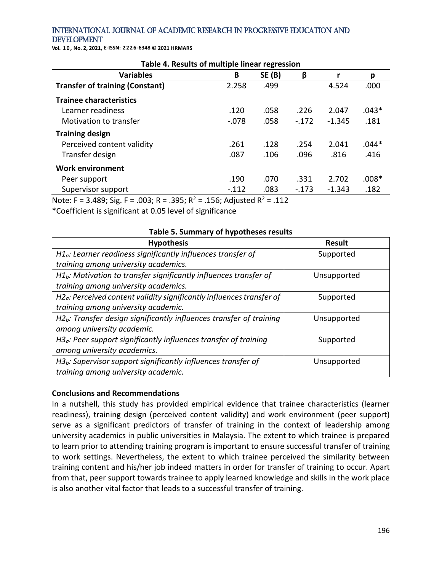**Vol. 1 0 , No. 2, 2021, E-ISSN: 2226-6348 © 2021 HRMARS**

| rable 4. Results of multiple linear regression                                |                              |               |         |          |         |  |
|-------------------------------------------------------------------------------|------------------------------|---------------|---------|----------|---------|--|
| <b>Variables</b>                                                              | B                            | <b>SE (B)</b> | β       |          | р       |  |
| <b>Transfer of training (Constant)</b>                                        | 2.258                        | .499          |         | 4.524    | .000    |  |
| <b>Trainee characteristics</b>                                                |                              |               |         |          |         |  |
| Learner readiness                                                             | .120                         | .058          | .226    | 2.047    | $.043*$ |  |
| Motivation to transfer                                                        | $-.078$                      | .058          | $-.172$ | $-1.345$ | .181    |  |
| <b>Training design</b>                                                        |                              |               |         |          |         |  |
| Perceived content validity                                                    | .261                         | .128          | .254    | 2.041    | .044*   |  |
| Transfer design                                                               | .087                         | .106          | .096    | .816     | .416    |  |
| <b>Work environment</b>                                                       |                              |               |         |          |         |  |
| Peer support                                                                  | .190                         | .070          | .331    | 2.702    | $.008*$ |  |
| Supervisor support                                                            | $-.112$                      | .083          | $-.173$ | $-1.343$ | .182    |  |
| $20 - 2$<br>$\sim$ $\sim$ $\sim$<br>$\cdots$ = $\alpha$ $\alpha$ $\alpha$ ; = | $4-6$ $8$ $1$ , $1-7$ $44-2$ |               |         |          |         |  |

**Table 4. Results of multiple linear regression**

Note: F = 3.489; Sig. F = .003; R = .395; R<sup>2</sup> = .156; Adjusted R<sup>2</sup> = .112 \*Coefficient is significant at 0.05 level of significance

| Table 5. Summary of hypotheses results                                  |               |  |  |  |
|-------------------------------------------------------------------------|---------------|--|--|--|
| <b>Hypothesis</b>                                                       | <b>Result</b> |  |  |  |
| $H1a$ : Learner readiness significantly influences transfer of          | Supported     |  |  |  |
| training among university academics.                                    |               |  |  |  |
| $H1b$ : Motivation to transfer significantly influences transfer of     | Unsupported   |  |  |  |
| training among university academics.                                    |               |  |  |  |
| $H2a$ : Perceived content validity significantly influences transfer of | Supported     |  |  |  |
| training among university academic.                                     |               |  |  |  |
| $H2b$ : Transfer design significantly influences transfer of training   | Unsupported   |  |  |  |
| among university academic.                                              |               |  |  |  |
| $H3a$ : Peer support significantly influences transfer of training      | Supported     |  |  |  |
| among university academics.                                             |               |  |  |  |
| $H3b$ : Supervisor support significantly influences transfer of         | Unsupported   |  |  |  |
| training among university academic.                                     |               |  |  |  |

#### **Conclusions and Recommendations**

In a nutshell, this study has provided empirical evidence that trainee characteristics (learner readiness), training design (perceived content validity) and work environment (peer support) serve as a significant predictors of transfer of training in the context of leadership among university academics in public universities in Malaysia. The extent to which trainee is prepared to learn prior to attending training program is important to ensure successful transfer of training to work settings. Nevertheless, the extent to which trainee perceived the similarity between training content and his/her job indeed matters in order for transfer of training to occur. Apart from that, peer support towards trainee to apply learned knowledge and skills in the work place is also another vital factor that leads to a successful transfer of training.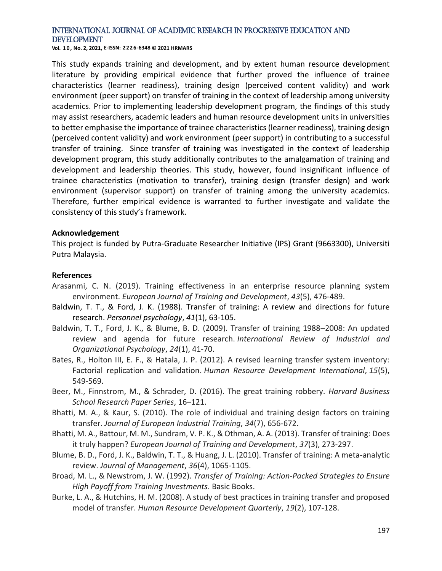**Vol. 1 0 , No. 2, 2021, E-ISSN: 2226-6348 © 2021 HRMARS**

This study expands training and development, and by extent human resource development literature by providing empirical evidence that further proved the influence of trainee characteristics (learner readiness), training design (perceived content validity) and work environment (peer support) on transfer of training in the context of leadership among university academics. Prior to implementing leadership development program, the findings of this study may assist researchers, academic leaders and human resource development units in universities to better emphasise the importance of trainee characteristics (learner readiness), training design (perceived content validity) and work environment (peer support) in contributing to a successful transfer of training. Since transfer of training was investigated in the context of leadership development program, this study additionally contributes to the amalgamation of training and development and leadership theories. This study, however, found insignificant influence of trainee characteristics (motivation to transfer), training design (transfer design) and work environment (supervisor support) on transfer of training among the university academics. Therefore, further empirical evidence is warranted to further investigate and validate the consistency of this study's framework.

#### **Acknowledgement**

This project is funded by Putra-Graduate Researcher Initiative (IPS) Grant (9663300), Universiti Putra Malaysia.

#### **References**

- Arasanmi, C. N. (2019). Training effectiveness in an enterprise resource planning system environment. *European Journal of Training and Development*, *43*(5), 476-489.
- Baldwin, T. T., & Ford, J. K. (1988). Transfer of training: A review and directions for future research. *Personnel psychology*, *41*(1), 63-105.
- Baldwin, T. T., Ford, J. K., & Blume, B. D. (2009). Transfer of training 1988–2008: An updated review and agenda for future research. *International Review of Industrial and Organizational Psychology*, *24*(1), 41-70.
- Bates, R., Holton III, E. F., & Hatala, J. P. (2012). A revised learning transfer system inventory: Factorial replication and validation. *Human Resource Development International*, *15*(5), 549-569.
- Beer, M., Finnstrom, M., & Schrader, D. (2016). The great training robbery. *Harvard Business School Research Paper Series*, 16–121.
- Bhatti, M. A., & Kaur, S. (2010). The role of individual and training design factors on training transfer. *Journal of European Industrial Training*, *34*(7), 656-672.
- Bhatti, M. A., Battour, M. M., Sundram, V. P. K., & Othman, A. A. (2013). Transfer of training: Does it truly happen? *European Journal of Training and Development*, *37*(3), 273-297.
- Blume, B. D., Ford, J. K., Baldwin, T. T., & Huang, J. L. (2010). Transfer of training: A meta-analytic review. *Journal of Management*, *36*(4), 1065-1105.
- Broad, M. L., & Newstrom, J. W. (1992). *Transfer of Training: Action-Packed Strategies to Ensure High Payoff from Training Investments*. Basic Books.
- Burke, L. A., & Hutchins, H. M. (2008). A study of best practices in training transfer and proposed model of transfer. *Human Resource Development Quarterly*, *19*(2), 107-128.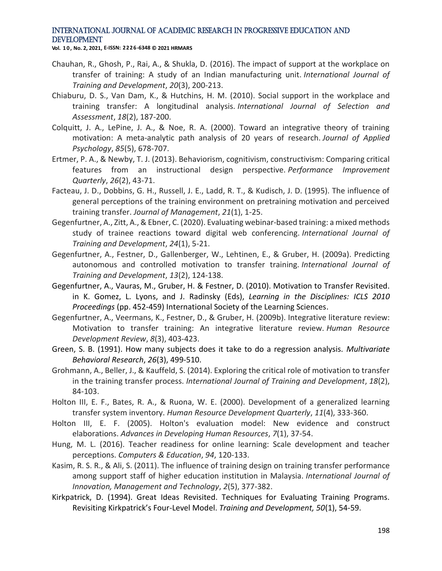**Vol. 1 0 , No. 2, 2021, E-ISSN: 2226-6348 © 2021 HRMARS**

- Chauhan, R., Ghosh, P., Rai, A., & Shukla, D. (2016). The impact of support at the workplace on transfer of training: A study of an Indian manufacturing unit. *International Journal of Training and Development*, *20*(3), 200-213.
- Chiaburu, D. S., Van Dam, K., & Hutchins, H. M. (2010). Social support in the workplace and training transfer: A longitudinal analysis. *International Journal of Selection and Assessment*, *18*(2), 187-200.
- Colquitt, J. A., LePine, J. A., & Noe, R. A. (2000). Toward an integrative theory of training motivation: A meta-analytic path analysis of 20 years of research. *Journal of Applied Psychology*, *85*(5), 678-707.
- Ertmer, P. A., & Newby, T. J. (2013). Behaviorism, cognitivism, constructivism: Comparing critical features from an instructional design perspective. *Performance Improvement Quarterly*, *26*(2), 43-71.
- Facteau, J. D., Dobbins, G. H., Russell, J. E., Ladd, R. T., & Kudisch, J. D. (1995). The influence of general perceptions of the training environment on pretraining motivation and perceived training transfer. *Journal of Management*, *21*(1), 1-25.
- Gegenfurtner, A., Zitt, A., & Ebner, C. (2020). Evaluating webinar‐based training: a mixed methods study of trainee reactions toward digital web conferencing. *International Journal of Training and Development*, *24*(1), 5-21.
- Gegenfurtner, A., Festner, D., Gallenberger, W., Lehtinen, E., & Gruber, H. (2009a). Predicting autonomous and controlled motivation to transfer training. *International Journal of Training and Development*, *13*(2), 124-138.
- Gegenfurtner, A., Vauras, M., Gruber, H. & Festner, D. (2010). Motivation to Transfer Revisited. in K. Gomez, L. Lyons, and J. Radinsky (Eds), *Learning in the Disciplines: ICLS 2010 Proceedings* (pp. 452-459) International Society of the Learning Sciences.
- Gegenfurtner, A., Veermans, K., Festner, D., & Gruber, H. (2009b). Integrative literature review: Motivation to transfer training: An integrative literature review. *Human Resource Development Review*, *8*(3), 403-423.
- Green, S. B. (1991). How many subjects does it take to do a regression analysis. *Multivariate Behavioral Research*, *26*(3), 499-510.
- Grohmann, A., Beller, J., & Kauffeld, S. (2014). Exploring the critical role of motivation to transfer in the training transfer process. *International Journal of Training and Development*, *18*(2), 84-103.
- Holton III, E. F., Bates, R. A., & Ruona, W. E. (2000). Development of a generalized learning transfer system inventory. *Human Resource Development Quarterly*, *11*(4), 333-360.
- Holton III, E. F. (2005). Holton's evaluation model: New evidence and construct elaborations. *Advances in Developing Human Resources*, *7*(1), 37-54.
- Hung, M. L. (2016). Teacher readiness for online learning: Scale development and teacher perceptions. *Computers & Education*, *94*, 120-133.
- Kasim, R. S. R., & Ali, S. (2011). The influence of training design on training transfer performance among support staff of higher education institution in Malaysia. *International Journal of Innovation, Management and Technology*, *2*(5), 377-382.
- Kirkpatrick, D. (1994). Great Ideas Revisited. Techniques for Evaluating Training Programs. Revisiting Kirkpatrick's Four-Level Model. *Training and Development, 50*(1), 54-59.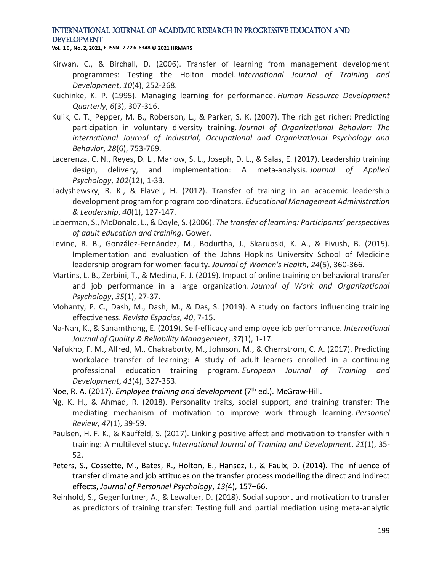**Vol. 1 0 , No. 2, 2021, E-ISSN: 2226-6348 © 2021 HRMARS**

- Kirwan, C., & Birchall, D. (2006). Transfer of learning from management development programmes: Testing the Holton model. *International Journal of Training and Development*, *10*(4), 252-268.
- Kuchinke, K. P. (1995). Managing learning for performance. *Human Resource Development Quarterly*, *6*(3), 307-316.
- Kulik, C. T., Pepper, M. B., Roberson, L., & Parker, S. K. (2007). The rich get richer: Predicting participation in voluntary diversity training. *Journal of Organizational Behavior: The International Journal of Industrial, Occupational and Organizational Psychology and Behavior*, *28*(6), 753-769.
- Lacerenza, C. N., Reyes, D. L., Marlow, S. L., Joseph, D. L., & Salas, E. (2017). Leadership training design, delivery, and implementation: A meta-analysis. *Journal of Applied Psychology*, *102*(12), 1-33.
- Ladyshewsky, R. K., & Flavell, H. (2012). Transfer of training in an academic leadership development program for program coordinators. *Educational Management Administration & Leadership*, *40*(1), 127-147.
- Leberman, S., McDonald, L., & Doyle, S. (2006). *The transfer of learning: Participants' perspectives of adult education and training*. Gower.
- Levine, R. B., González-Fernández, M., Bodurtha, J., Skarupski, K. A., & Fivush, B. (2015). Implementation and evaluation of the Johns Hopkins University School of Medicine leadership program for women faculty. *Journal of Women's Health*, *24*(5), 360-366.
- Martins, L. B., Zerbini, T., & Medina, F. J. (2019). Impact of online training on behavioral transfer and job performance in a large organization. *Journal of Work and Organizational Psychology*, *35*(1), 27-37.
- Mohanty, P. C., Dash, M., Dash, M., & Das, S. (2019). A study on factors influencing training effectiveness. *Revista Espacios, 40*, 7-15.
- Na-Nan, K., & Sanamthong, E. (2019). Self-efficacy and employee job performance. *International Journal of Quality & Reliability Management*, *37*(1), 1-17.
- Nafukho, F. M., Alfred, M., Chakraborty, M., Johnson, M., & Cherrstrom, C. A. (2017). Predicting workplace transfer of learning: A study of adult learners enrolled in a continuing professional education training program. *European Journal of Training and Development*, *41*(4), 327-353.
- Noe, R. A. (2017). *Employee training and development* (7th ed.). McGraw-Hill.
- Ng, K. H., & Ahmad, R. (2018). Personality traits, social support, and training transfer: The mediating mechanism of motivation to improve work through learning. *Personnel Review*, *47*(1), 39-59.
- Paulsen, H. F. K., & Kauffeld, S. (2017). Linking positive affect and motivation to transfer within training: A multilevel study. *International Journal of Training and Development*, *21*(1), 35- 52.
- Peters, S., Cossette, M., Bates, R., Holton, E., Hansez, I., & Faulx, D. (2014). The influence of transfer climate and job attitudes on the transfer process modelling the direct and indirect effects, *Journal of Personnel Psychology*, *13(*4), 157–66.
- Reinhold, S., Gegenfurtner, A., & Lewalter, D. (2018). Social support and motivation to transfer as predictors of training transfer: Testing full and partial mediation using meta‐analytic